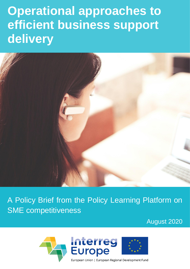# **Operational approaches to efficient business support delivery**



A Policy Brief from the Policy Learning Platform on SME competitiveness

August 2020

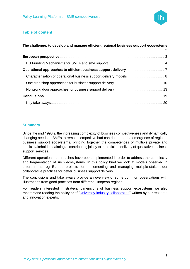

#### **Table of content**

| The challenge: to develop and manage efficient regional business support ecosystems |  |  |
|-------------------------------------------------------------------------------------|--|--|
|                                                                                     |  |  |
|                                                                                     |  |  |
|                                                                                     |  |  |
|                                                                                     |  |  |
|                                                                                     |  |  |
|                                                                                     |  |  |
|                                                                                     |  |  |
|                                                                                     |  |  |

#### **Summary**

Since the mid 1990's, the increasing complexity of business competitiveness and dynamically changing needs of SMEs to remain competitive had contributed to the emergence of regional business support ecosystems, bringing together the competences of multiple private and public stakeholders, aiming at contributing jointly to the efficient delivery of qualitative business support services.

Different operational approaches have been implemented in order to address the complexity and fragmentation of such ecosystems. In this policy brief we look at models observed in different Interreg Europe projects for implementing and managing multiple-stakeholder collaborative practices for better business support delivery.

The conclusions and take aways provide an overview of some common observations with illustrations from good practices from different European regions.

For readers interested in strategic dimensions of business support ecosystems we also recommend reading the policy brief ["University-industry collaboration"](https://www.interregeurope.eu/fileadmin/user_upload/plp_uploads/policy_briefs/2020-01-17_Policy_Brief_University-Industry_Collaboration.pdf) written by our research and innovation experts.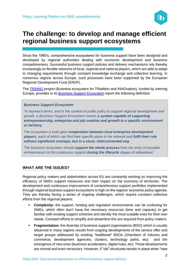

## <span id="page-2-0"></span>**The challenge: to develop and manage efficient regional business support ecosystems**

Since the 1990's, comprehensive ecosystems for business support have been designed and developed by regional authorities dealing with economic development and business competitiveness. Successful business support policies and delivery mechanisms rely thereby increasingly on flexible networks of local, regional and national players, which are able to adapt to changing requirements through constant knowledge exchange and collective learning. In numerous regions across Europe, such processes have been supported by the European Regional Development Fund (ERDF).

The [TRINNO](https://www.interregeurope.eu/trinno/) project (Business ecosystem for TRadition and INNOvation), funded by Interreg Europe, provides in its **[Business Support Ecosystem](https://www.interregeurope.eu/fileadmin/user_upload/tx_tevprojects/library/TRINNO-D.01-BusinessSupportEcosystemReport_FIN.pdf)** report the following definition:

#### *Business Support Ecosystem*

*"In layman's terms, and in the context of public policy to support regional development and growth, a Business Support Ecosystem means a system capable of supporting entrepreneurship, enterprise and job creation and growth in a specific environment or territory.*

*The ecosystem is built upon cooperation between local enterprise development*  **players**, each of which can find their specific place in the network and **fulfil their role** *without significant overlaps, but in a close, interconnected way.*

*The business ecosystem should support the whole process from the entry of possible entrepreneurs to the continuous support during the lifecycle stages of enterprises"* 

#### **WHAT ARE THE ISSUES?**

Regional policy makers and stakeholders across EU are constantly working on improving the efficiency of SMEs support measures and their impact on the economy of territories. The development and continuous improvement of comprehensive support portfolios implemented through regional business support ecosystems is high on the regions' economic policy agenda. They are thereby facing a series of ongoing challenges, which require constant collective efforts from the regional players:

- **Complexity:** the support, funding and regulation environments can be confusing for SMEs, which often don't have the necessary resources (time and capacity) to get familiar with existing support schemes and identify the most suitable ones for their own needs. Constant efforts to simplify and streamline this are required from policy makers.
- **Fragmentation:** the diversity of business support organisations (BSO) which is usually observed in many regions results from ongoing developments of the service offer and target groups addressed by existing "traditional" BSOs (chambers of industry and commerce, development agencies, clusters, technology parks, etc) and the emergence of new ones (business accelerators, digital hubs, etc) Those developments are normal and even necessary. However, if "old" structures remain in place when "new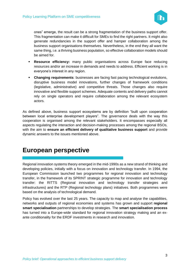

ones" emerge, the result can be a strong fragmentation of the business support offer. This fragmentation can make it difficult for SMEs to find the right partners. It might also generate redundancies in the support offer and hamper collaboration among the business support organisations themselves. Nevertheless, in the end they all want the same thing, i.e. a thriving business population, so effective collaboration models should be aimed for.

- **EXEL Resource efficiency:** many public organisations across Europe face reducing resources and/or an increase in demands and needs to address. Efficient working is in everyone's interest in any region.
- **Changing requirements**: businesses are facing fast pacing technological evolutions, disruptive business model innovations, further changes of framework conditions (legislative, administrative) and competitive threats. Those changes also require innovative and flexible support schemes. Adequate contents and delivery paths cannot rely on single operators and require collaboration among the relevant ecosystem actors.

As defined above, business support ecosystems are by definition "built upon cooperation between local enterprise development players". The governance deals with the way this cooperation is organised among the relevant stakeholders. It encompasses especially all aspects regulating the interaction and decision-making processes among the regional BSOs, with the aim to **ensure an efficient delivery of qualitative business support** and provide dynamic answers to the issues mentioned above.

## <span id="page-3-0"></span>**European perspective**

Regional innovation systems theory emerged in the mid-1990s as a new strand of thinking and developing policies, initially with a focus on innovation and technology transfer. In 1994, the European Commission launched two programmes for regional innovation and technology transfer, in the framework of its SPRINT strategic programme for innovation and technology transfer: the RITTS (Regional innovation and technology transfer strategies and infrastructures) and the RTP (Regional technology plans) initiatives. Both programmes were based on the analysis of technological demand.

Policy has evolved over the last 25 years. The capacity to map and analyse the capabilities, networks and outputs of regional economies and systems has grown and support **regional smart specialisation** partnerships to develop strategies. The **smart specialisation process** has turned into a Europe-wide standard for regional innovation strategy making and an exante conditionality for the ERDF investments in research and innovation.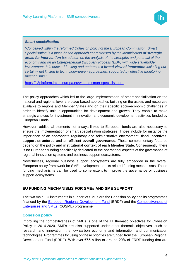

#### *Smart specialisation*

*"Conceived within the reformed Cohesion policy of the European Commission, Smart Specialisation is a place-based approach characterised by the identification of strategic areas for intervention based both on the analysis of the strengths and potential of the economy and on an Entrepreneurial Discovery Process (EDP) with wide stakeholder involvement. It is outward-looking and embraces a broad view of innovation including but certainly not limited to technology-driven approaches, supported by effective monitoring mechanisms."*

<https://s3platform.jrc.ec.europa.eu/what-is-smart-specialisation->

The policy approaches which led to the large implementation of smart specialisation on the national and regional level are place-based approaches building on the assets and resources available to regions and Member States and on their specific socio-economic challenges in order to identify unique opportunities for development and growth. They enable to make strategic choices for investment in innovation and economic development activities funded by European Funds.

However, additional elements not always linked to European funds are also necessary to ensure the implementation of smart specialisation strategies. Those include for instance the importance of an appropriate regulatory and administrative environment, fiscal incentives, **support structures** and an efficient **overall governance**. These complementary features depend on the policy **and institutional context of each Member State.** Consequently, there is no European funding specifically dedicated to the operational aspects of the governance of regional innovation systems and business support ecosystems.

Nevertheless, regional business support ecosystems are fully embedded in the overall European policy framework for SME development and its related funding mechanisms. Those funding mechanisms can be used to some extent to improve the governance or business support ecosystems.

#### <span id="page-4-0"></span>**EU FUNDING MECHANISMS FOR SMEs AND SME SUPPORT**

The two main EU instruments in support of SMEs are the Cohesion policy and its programmes financed by the [European Regional Development Fund](https://ec.europa.eu/regional_policy/en/funding/erdf/) (ERDF) and the [Competitiveness of](https://ec.europa.eu/growth/smes/cosme_en)  [Enterprises and SMEs](https://ec.europa.eu/growth/smes/cosme_en) (COSME) programme.

#### **Cohesion policy**

Improving the competitiveness of SMEs is one of the 11 thematic objectives for Cohesion Policy in 2014-2020. SMEs are also supported under other thematic objectives, such as research and innovation, the low-carbon economy and information and communication technologies. Programmes focusing on these priorities are funded from the European Regional Development Fund (ERDF). With over €65 billion or around 20% of ERDF funding that are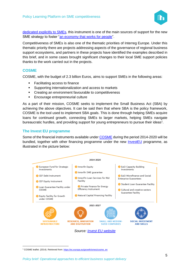

[dedicated explicitly to SMEs,](https://cohesiondata.ec.europa.eu/stories/s/n4ee-2h83) this instrument is one of the main sources of support for the new SME strategy to foster ["an economy that works for people"](https://ec.europa.eu/info/strategy/priorities-2019-2024/economy-works-people_en).

Competitiveness of SMEs is also one of the thematic priorities of Interreg Europe. Under this thematic priority there are projects addressing aspects of the governance of regional business support ecosystems, and partners in these projects have identified the examples described in this brief, and in some cases brought significant changes to their local SME support policies thanks to the work carried out in the projects.

#### **COSME**

COSME, with the budget of 2.3 billion Euros, aims to support SMEs in the following areas:

- **Facilitating access to finance**
- Supporting internationalization and access to markets
- Creating an environment favourable to competitiveness
- Encourage entrepreneurial culture

As a part of their mission, COSME seeks to implement the Small Business Act (SBA) by achieving the above objectives. It can be said then that where SBA is the policy framework, COSME is the tool used to implement SBA goals. This is done through helping SMEs acquire loans for continued growth, connecting SMEs to larger markets, helping SMEs navigate bureaucratic hurdles, and providing support for young entrepreneurs to pursue their ideas<sup>1</sup>.

#### **The Invest EU programme**

Some of the financial instruments available under [COSME](https://ec.europa.eu/growth/smes/cosme_en) during the period 2014-2020 will be bundled, together with other financing programme under the new **InvestEU** programme, as illustrated in the picture below:



<sup>&</sup>lt;sup>1</sup> COSME leaflet. (2014). Retrieved from[: https://ec.europa.eu/growth/smes/cosme\\_en](https://ec.europa.eu/growth/smes/cosme_en)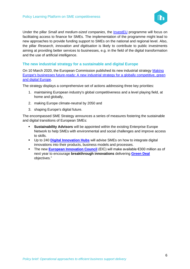

Under the pillar *Small and medium-sized companies*, the [InvestEU](https://europa.eu/investeu) programme will focus on facilitating access to finance for SMEs. The implementation of the programme might lead to new approaches to provide funding support to SMEs on the national and regional level. Also, the pillar *Research, innovation and digitisation* is likely to contribute to public investments aiming at providing better services to businesses, e.g. in the field of the digital transformation and the use of artificial intelligence.

#### **The new industrial strategy for a sustainable and digital Europe**

On 10 March 2020, the European Commission published its new industrial strategy [Making](https://ec.europa.eu/growth/content/making-europes-businesses-future-ready-new-industrial-strategy-globally-competitive-green-0_sl)  [Europe's businesses future-ready: A new industrial strategy for a globally competitive, green](https://ec.europa.eu/growth/content/making-europes-businesses-future-ready-new-industrial-strategy-globally-competitive-green-0_sl)  [and digital Europe.](https://ec.europa.eu/growth/content/making-europes-businesses-future-ready-new-industrial-strategy-globally-competitive-green-0_sl)

The strategy displays a comprehensive set of actions addressing three key priorities:

- 1. maintaining European industry's global competitiveness and a level playing field, at home and globally,
- 2. making Europe climate-neutral by 2050 and
- 3. shaping Europe's digital future.

The encompassed SME Strategy announces a series of measures fostering the sustainable and digital transitions of European SMEs:

- **Sustainability Advisors** will be appointed within the existing Enterprise Europe Network to help SMEs with environmental and social challenges and improve access to skills.
- Up to 240 **[Digital Innovation Hubs](https://ec.europa.eu/digital-single-market/en/digital-innovation-hubs)** will advise SMEs on how to integrate digital innovations into their products, business models and processes.
- The new **[European Innovation Council](https://ec.europa.eu/research/eic/index.cfm)** (EIC) will make available €300 million as of next year to encourage **breakthrough innovations** delivering **[Green Deal](https://ec.europa.eu/regional_policy/en/newsroom/news/2020/01/14-01-2020-financing-the-green-transition-the-european-green-deal-investment-plan-and-just-transition-mechanism)** objectives."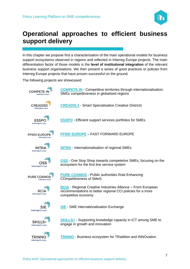

## <span id="page-7-0"></span>**Operational approaches to efficient business support delivery**

In this chapter we propose first a characterisation of the main operational models for business support ecosystems observed in regions and reflected in Interreg Europe projects. The main differentiation factor of those models is the **level of institutional integration** of the relevant business support organisations. We then present a series of good practices or policies from Interreg Europe projects that have proven successful on the ground.

The following projects are showcased:

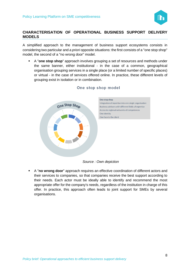

#### <span id="page-8-0"></span>**CHARACTERISATION OF OPERATIONAL BUSINESS SUPPORT DELIVERY MODELS**

A simplified approach to the management of business support ecosystems consists in considering two particular and *a priori* opposite situations: the first consists of a "one stop shop" model, the second of a "no wrong door" model.

A "**one stop shop**" approach involves grouping a set of resources and methods under the same banner, either institutional - in the case of a common, geographical organisation grouping services in a single place (or a limited number of specific places) or virtual - in the case of services offered online. In practice, these different levels of grouping exist in isolation or in combination.



#### One stop shop model

*Source : Own depiction*

▪ A "**no wrong door**" approach requires an effective coordination of different actors and their services to companies, so that companies receive the best support according to their needs. Each actor must be ideally able to identify and recommend the most appropriate offer for the company's needs, regardless of the institution in charge of this offer. In practice, this approach often leads to joint support for SMEs by several organisations.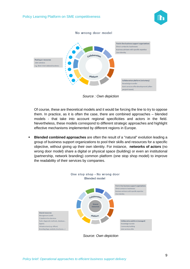



*Source : Own depiction*

Of course, these are theoretical models and it would be forcing the line to try to oppose them. In practice, as it is often the case, there are combined approaches – blended models - that take into account regional specificities and actors in the field. Nevertheless, these models correspond to different strategic approaches and highlight effective mechanisms implemented by different regions in Europe.

**Blended combined approaches** are often the result of a "natural" evolution leading a group of business support organizations to pool their skills and resources for a specific objective, without giving up their own identity. For instance, **networks of actors** (no wrong door model) share a digital or physical space (building) or even an institutional (partnership, network branding) common platform (one stop shop model) to improve the readability of their services by companies.



*Source: Own depiction*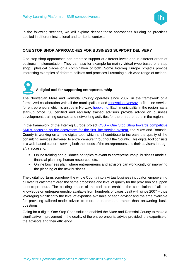

In the following sections, we will explore deeper those approaches building on practices applied in different institutional and territorial contexts.

#### <span id="page-10-0"></span>**ONE STOP SHOP APPROACHES FOR BUSINESS SUPPORT DELIVERY**

One stop shop approaches can embrace support at different levels and in different areas of business implementation. They can also for example be mainly virtual (web-based one stop shop), physical places or a combination of both. Some Interreg Europe projects provide interesting examples of different policies and practices illustrating such wide range of actions.

**A digital tool for supporting entrepreneurship**

The Norwegian Møre and Romsdal County operates since 2007, in the framework of a formalized collaboration with all the municipalities and **Innovation Norway**, a first line service for entrepreneurs which is unique in Norway: [hoppid.no.](https://mrfylke.no/hoppid.no) Each municipality in the region has a start-up office. 50 certified and regularly trained advisors provide advice on business development, training courses and networking activities for the entrepreneurs in the region.

In the framework of the Interreg Europe project OSS – One Stop Shop towards competitive [SMEs, focusing on the ecosystem for the first line service system,](https://www.interregeurope.eu/oss/) the Møre and Romsdal County is working on a new digital tool, which shall contribute to increase the quality of the consulting services delivered to entrepreneurs throughout the County. This digital tool consists in a web-based platform serving both the needs of the entrepreneurs and their advisors through 24/7 access to:

- Online training and guidance on topics relevant to entrepreneurship: business models, financial planning, human resources, etc.
- Online business plan, where entrepreneurs and advisors can work jointly on improving the planning of the new business.

The digital tool turns somehow the whole County into a virtual business incubator, empowering all over its catchment area the same processes and level of quality for the provision of support to entrepreneurs. The building phase of the tool also enabled the compilation of all the knowledge on entrepreneurship available from hundreds of cases dealt with since 2007 – thus leveraging significantly the level of expertise available of each advisor and the time available for providing tailored-made advise to more entrepreneurs rather than answering basic questions.

Going for a digital One Stop Shop solution enabled the Møre and Romsdal County to make a significative improvement in the quality of the entrepreneurial advice provided, the expertise of the advisors and their efficiency.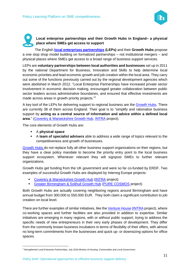

#### **Local enterprise partnerships and their Growth Hubs in England– a physical place where SMEs get access to support**

The English **[local enterprises partnerships](https://www.lepnetwork.net/) (LEPs)** and their **Growth Hubs** propose a one stop shop model building on formalized partnerships – not institutional mergers – and physical places where SMEs get access to a broad range of business support services.

LEPs are **voluntary partnerships between local authorities and businesses** set up in 2011 by the national Department for Business, Innovation and Skills to help determine local economic priorities and lead economic growth and job creation within the local area. They carry out some of the functions previously carried out by the regional development agencies which were abolished in March 2012. "Local Enterprise Partnerships have increased private sector involvement in economic decision making, encouraged greater collaboration between public sector leaders across administrative boundaries, and ensured that effective investments are made across areas in growth priority projects."<sup>2</sup>

A key tool of the LEPs for delivering support to regional business are the [Growth Hubs.](https://www.lepnetwork.net/growth-hubs/) There are currently 38 of them across England. Their goal is to "simplify and rationalize business support by **acting as a central source of information and advice within a defined local area**." [\(Coventry & Warwickshire Growth Hub,](https://www.interregeurope.eu/policylearning/good-practices/item/489/coventry-warwickshire-growth-hub/) [INTRA](https://www.interregeurope.eu/intra/) project).

The core elements of Growth Hubs are:

- A **physical space**
- A **team of specialist advisers** able to address a wide range of topics relevant to the competitiveness and growth of businesses.

[Growth Hubs](https://www.lepnetwork.net/growth-hubs/) do not replace fully all other business support organizations on their regions, but they have a clear policy mandate to become the priority entry point to the local business support ecosystem. Whenever relevant they will signpost SMEs to further relevant organizations.

Growth Hubs get funding from the UK government and were so far co-funded by ERDF. Two examples of successful Growth Hubs are displayed by Interreg Europe projects:

- [Coventry & Warwickshire Growth Hub](https://www.interregeurope.eu/policylearning/good-practices/item/489/coventry-warwickshire-growth-hub/) [\(INTRA](https://www.interregeurope.eu/intra/) project)
- **[Greater Birmingham & Solihull Growth Hub](https://www.interregeurope.eu/policylearning/good-practices/item/1608/growth-hub-one-stop-shop-for-business/) [\(PURE COSMOS](https://www.interregeurope.eu/purecosmos/) project)**

Both Growth Hubs are actually covering neighboring regions around Birmingham and have annual budget from 300.000 to 550.000 EUR. They both claim a significant contribution to job creation on local level.

There are further examples of similar initiatives, like the [Venture House](https://www.interregeurope.eu/policylearning/good-practices/item/486/venture-house/) [\(INTRA](https://www.interregeurope.eu/intra/) project), where co-working spaces and further facilities are also provided in addition to expertise. Similar initiatives are emerging in many regions, with or without public support, trying to address the specific needs of new entrepreneurs in their very early phases of development. They differ from the commonly known business incubators in terms of flexibility of their offers, with almost no long-term commitments from the businesses and quick up- or downsizing options for office spaces.

<sup>2</sup> Strengthened Local Enterprise Partnerships, July 2018 Ministry of Housing, Communities and Local Government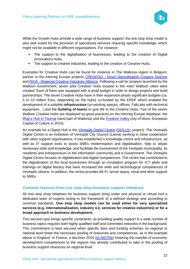

While the Growth Hubs provide a wide range of business support, the one stop shop model is also well suited for the provision of specialized services requiring specific knowledge, which might not be available in different organisations. For instance:

- The support to the digitalisation of businesses, leading to the creation of Digital (Innovation) Hubs.
- The support to creative industries, leading to the creation of Creative Hubs.

Examples for Creative Hubs can be found for instance in The Wallonia region in Belgium, partner in the Interreg Europe projects CREADIS3 - [Smart Specialisation Creative Districts](https://www.interregeurope.eu/creadis3/) and RCIA - [Regional Creative Industries Alliance.](https://www.interregeurope.eu/rcia/) Following a call for projects launched by the Walloon Government, seven pilot Creative Hubs located in the main Walloon cities were created. Each of them was equipped with a small budget in order to design projects and build partnerships. The seven Creative Hubs have in their expansion phase significant budgets (ca. 5 to 10 million Euro, depending on the hubs) co-funded by the ERDF which enabled the development of a suitable **infrastructure** (co-working spaces, offices, FabLabs with technical equipment…) and the **building of teams** to give life to the Creative Hubs. Two of the seven Walloon Creative Hubs are displayed as good practices on the Interreg Europe database: the [Wap's Hub in Tournai](https://www.interregeurope.eu/policylearning/good-practices/item/1176/the-creative-hubs-policy-the-example-of-wap-s-hub-the-creative-hub-of-the-city-of-tournai/) (west part of Wallonia) and the [Creative Valley](https://www.interregeurope.eu/policylearning/good-practices/item/907/the-creative-hubs-policy-the-example-of-creative-valley-the-creative-hub-of-the-city-of-mons/) (city of Mons, European Capital of Culture in 2015).

An example for a Digital Hub is the [Ventspils Digital Centre](https://www.interregeurope.eu/policylearning/good-practices/item/1453/ventspils-digital-centre-vdc/) [\(SKILLS+](https://www.interregeurope.eu/skillsplus/) project). The Ventspils Digital Centre is an institution of Ventspils City Council (Latvia) working in close cooperation with other support organisations. It has established a knowledge centre and infrastructure, as well as IT support tools to assist SMEs modernisation and digitalisation, help to obtain necessary skills and knowledge, and facilitate the involvement of the Ventspils municipality, its residents and entrepreneurs in the information community and e-Government. The Ventspils Digital Centre focuses on digitalisation and digital competences. The centre has contributed to the digitalisation of the local businesses through an incubation program for ICT pilots and trainings on digital literacy that have increased the skills and technological competences of Ventspils citizens. In addition, the centre provides Wi-Fi, server space, cloud and other support to SMEs.

#### **Common features from one stop shop business support initiatives**

All one stop shop initiatives for business support bring under one physical or virtual roof a dedicated team of experts acting in the framework of a defined strategy and according to common standards. **One stop shop models can be used either for very specialized services (e.g. internationalisation, industry 4.0, services for creative industries) or for a broad approach to business development.**

This second case brings specific constraints, as providing quality support in a wide number of business topics requires both highly qualified staff and committed networks in the background. This commitment is best secured when specific laws and funding schemes on regional or national level foster the necessary pooling of resources and competences, as in the example above in England. In France, a law from 2015 [\(loi NOTRe\)](https://www.legifrance.gouv.fr/affichTexte.do?cidTexte=JORFTEXT000030985460&categorieLien=id) fostering the transfer of economic development competences to the regions has already contributed to take in the pooling of business support resources on regional level.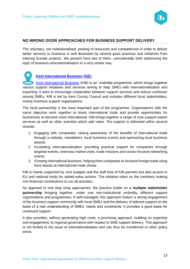

#### <span id="page-13-0"></span>**NO WRONG DOOR APPROACHES FOR BUSINESS SUPPORT DELIVERY**

The voluntary, not institutionalised, pooling of resources and competences in order to deliver better services to business is well illustrated by several good practices and initiatives from Interreg Europe projects. We present here two of them, coincidentally both addressing the topic of business internationalisation in a very similar way.

**[Kent International Business](https://www.interregeurope.eu/policylearning/good-practices/item/35/kent-international-business/) [\(SIE\)](https://www.interregeurope.eu/sie/)** [Kent International Business](https://www.interregeurope.eu/policylearning/good-practices/item/35/kent-international-business/) (KIB) is an 'umbrella programme' which brings together various support initiatives and services aiming to help SMEs with internationalisation and exporting. It aims to encourage cooperation between support services and reduce confusion among SMEs. KIB is led by Kent County Council and includes different local stakeholders, mainly business support organisations.

The local partnership is the most important part of the programme. Organisations with the same objective work together to boost international trade and provide opportunities for businesses to become more international. KIB brings together a range of core support export services as well as other activities which add value. The support is delivered within several strands:

- 1. Engaging with companies: raising awareness of the benefits of international trade through a website, newsletters, local business events and sponsoring local business awards
- 2. Incubating internationalisation: providing practical support for companies through targeted events, overseas market visits, trade missions and sector-focused networking events
- 3. Growing international business: helping Kent companies to increase foreign trade using Kent stands at international trade shows

KIB is mainly supported by core budgets and the staff time of KIB partners but also access to EU and national funds for added-value actions. The initiative relies on the members making non-financial contributions to run all activities.

As opposed to one stop shop approaches, the practice builds on a **multiple stakeholder partnership** bringing together, under one non-institutional umbrella, different support organisations and programmes. If well-managed, this approach fosters a strong engagement of the business support community with local SMEs and the delivery of tailored support on the basis of a real understanding of SMEs' needs and constraints. It provides a good basis for continued support.

It also provides, without generating high costs, a promising approach, building on expertise and engagement, to regional governance with respect to SME support delivery. This approach is not limited to the issue of internationalisation and can thus be transferred to other policy areas.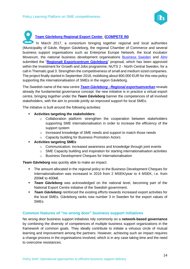

**[Team Gävleborg Regional Export Center](https://www.facebook.com/Team-G%C3%A4vleborg-Regional-exportsamverkan-256406958390079/) [\(COMPETE](https://www.interregeurope.eu/competein/) IN)** In March 2017, a consortium bringing together regional and local authorities (Municipality of Gävle, Region Gävleborg, the regional Chamber of Commerce and several business support organisations such as Enterprise Europe Network, the local incubator Movexum, the national business development organisations [Business Sweden](https://www.business-sweden.com/) and [Almi](https://www.almi.se/en/in-english/) submitted the "**[Regionalt Exportcentrum Gävleborg](https://www.facebook.com/Team-G%C3%A4vleborg-Regional-exportsamverkan-256406958390079/)**" proposal, which has been approved within the Investment for Growth and Jobs programme, NUTS 2 - North Central Sweden, for a call in Thematic goal 3: Strengthen the competitiveness of small and medium sized companies. The project finally started in September 2018, mobilising about 800.000 EUR for this new policy supporting the internationalisation of SMEs in the region Gävleborg.

The Swedish name of the new centre *Team Gävleborg - [Regional exportsamverkan](https://www.facebook.com/Team-G%C3%A4vleborg-Regional-exportsamverkan-256406958390079/)* reveals already the fundamental governance concept: the new initiative is in practice a virtual export centre, bringing together under the *Team Gävleborg* banner the competences of all involved stakeholders, with the aim to provide jointly an improved support for local SMEs.

The initiative is built around the following activities:

- **Activities targeting the stakeholders**:
	- o Collaboration platform: strengthen the cooperation between stakeholders supporting SME internationalisation in order to increase the efficiency of the support system
	- o Increased knowledge of SME needs and support to match those needs
	- o Capacity building for Business Promotion Actors
- **Activities targeting SMEs**
	- o Communication: increased awareness and knowledge through joint events
	- $\circ$  SME Capacity building and inspiration for starting internationalisation activities
	- o Business Development Cheques for Internationalisation

*Team Gävleborg* was quickly able to make an impact:

- The amount allocated in the regional policy to the Business Development Cheques for Internationalisation was increased in 2019 from 2 MSEK/year to 4 MSEK, i.e. from 200k€ to 400k€.
- **Team Gävleborg** was acknowledged on the national level, becoming part of the National Export Centre initiative of the Swedish government.
- **EXECT: Team Gävleborg** reinforced the existing efforts towards increased export activities for the local SMEs. Gävleborg ranks now number 3 in Sweden for the export values of SMEs

#### **Common features of "no wrong door" business support initiatives**

No wrong door business support initiatives rely commonly on a **network-based governance** by combining the diversity of competences of multiple business support organizations in the framework of common goals. They ideally contribute to initiate a virtuous circle of mutual learning and improvement among the partners. However, achieving such an impact requires a change process in the organisations involved, which is in any case taking time and the need to overcome resistances.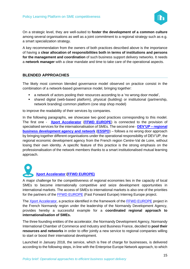

On a strategic level, they are well-suited to **foster the development of a common culture** among several organisations as well as a joint commitment to a regional strategy such as e.g. a smart specialization strategy.

A key recommendation from the owners of both practices described above is the importance of having a **clear allocation of responsibilities both in terms of institutions and persons for the management and coordination** of such business support delivery networks. It needs a **network manager** with a clear mandate and time to take care of the operational aspects.

#### **BLENDED APPROACHES**

The likely most common blended governance model observed on practice consist in the combination of a network-based governance model, bringing together:

- a network of actors pooling their resources according to a 'no wrong door model',
- shared digital (web-based platform), physical (building) or institutional (partnership, network branding) common platform (one stop shop model)

to improve the readability of their services by companies.

In the following paragraphs, we showcase two good practices corresponding to this model. The first one - **[Xport Accelerator](https://www.interregeurope.eu/policylearning/good-practices/item/847/export-accelerator/)** (**[FFWD EUROPE](https://www.interregeurope.eu/ffwdeurope/)**) is connected to the provision of specialised services for the internationalisation of SMEs. The second one - **DEV'UP – [regional](https://www.devup-centrevaldeloire.fr/)  [business development agency and network](https://www.devup-centrevaldeloire.fr/)** (**[ESSPO](https://www.interregeurope.eu/esspo/)**) – follows a no wrong door approach by bringing together different organisations under the operational responsibility of DEV'UP, the regional economic development agency from the French region Centre-Val de Loire, without losing their own identity. A specific feature of this practice is the strong emphasis on the professionalisation of the network members thanks to a smart institutionalised mutual learning approach.

**[Xport Accelerator](https://www.interregeurope.eu/policylearning/good-practices/item/847/export-accelerator/) [\(FFWD EUROPE\)](https://www.interregeurope.eu/ffwdeurope/)**

A major challenge for the competitiveness of regional economies lies in the capacity of local SMEs to become internationally competitive and seize development opportunities in international markets. The access of SMEs to international markets is also one of the priorities for the partners of the [FFWD EUROPE](https://www.interregeurope.eu/ffwdeurope/) (Fast Forward Europe) Interreg Europe project.

The [Xport Accelerator,](https://www.interregeurope.eu/policylearning/good-practices/item/847/export-accelerator/) a practice identified in the framework of the [FFWD EUROPE](https://www.interregeurope.eu/ffwdeurope/) project in the French Normandy region under the leadership of the Normandy Development Agency, provides hereby a successful example for a **coordinated regional approach to internationalisation of SMEs.**

The three founding entities of the accelerator, the Normandy Development Agency, Normandy International Chamber of Commerce and Industry and Business France, decided to **pool their resources and networks** in order to offer jointly a new service to regional companies willing to start or boost their international development.

Launched in January 2018, the service, which is free of charge for businesses, is delivered according to the following steps, in line with the Enterprise Europe Network approach, to which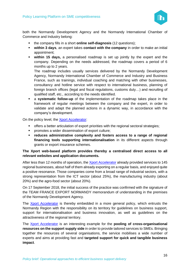

both the Normandy Development Agency and the Normandy International Chamber of Commerce and Industry belong:

- the company fills in a short **online self-diagnosis** (12 questions);
- **within 3 days**, an expert takes **contact with the company** in order to make an initial appointment;
- **within 15 days,** a personalised roadmap is set up jointly by the expert and the company. Depending on the needs addressed, the roadmap covers a period of 6 months up to 2 years.

The roadmap includes usually services delivered by the Normandy Development Agency, Normandy International Chamber of Commerce and Industry and Business France, such as trainings, individual coaching and matching with other businesses, consultancy and hotline service with respect to international business, planning of foreign branch offices (legal and fiscal regulations, customs duty…) and recruiting of qualified staff, etc., according to the needs identified.

▪ a **systematic follow-up** of the implementation of the roadmap takes place in the framework of regular meetings between the company and the expert, in order to validate and adapt the planned actions in a dynamic way, in accordance with the company's development.

On the policy level, the [Xport Accelerator:](https://www.interregeurope.eu/policylearning/good-practices/item/847/export-accelerator/)

- **•** offers a better articulation of export priorities with the regional sectoral strategies;
- promotes a wider dissemination of export culture;
- **reduces administrative complexity and fosters access to a range of regional financing tools supporting internationalisation** in its different aspects through grants or export insurance schemes.

#### **The Xport web-based platform provides thereby a centralised direct access to all relevant websites and application documents.**

After less than 12 months of operation, the [Xport Accelerator](https://www.interregeurope.eu/policylearning/good-practices/item/847/export-accelerator/) already provided services to 145 regional businesses, about half of them already exporting on a regular basis, and enjoyed quite a positive resonance. Those companies come from a broad range of industrial sectors, with a strong representation from the ICT sector (about 25%), the manufacturing industry (about 20%) and the agro-food sector (about 20%).

On 17 September 2018, the initial success of the practice was confirmed with the signature of the TEAM FRANCE EXPORT NORMANDY memorandum of understanding in the premises of the Normandy Development Agency.

The [Xport Accelerator](https://www.interregeurope.eu/policylearning/good-practices/item/847/export-accelerator/) is thereby embedded in a more general policy, which entrusts the Normandy Region with the responsibility on its territory for guidelines on business support, support for internationalisation and business innovation, as well as guidelines on the attractiveness of the regional territory.

The [Xport Accelerator](https://www.interregeurope.eu/policylearning/good-practices/item/847/export-accelerator/) is an interesting example for the **pooling of cross-organisational resources on the support supply side** in order to provide tailored services to SMEs. Bringing together the resources of several organisations, the service mobilises a wide number of experts and aims at providing fast and **targeted support for quick and tangible business impact**.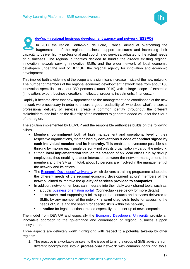

**dev'up – regional business development [agency](https://www.devup-centrevaldeloire.fr/) and network (ESSPO)** In 2017 the region Centre–Val de Loire, France, aimed at overcoming the fragmentation of the regional business support structures and increasing their capacity to deliver highly professional and coordinated services, adjusted to the actual needs of businesses. The regional authorities decided to bundle the already existing regional innovation network serving innovative SMEs and the wider network of local economic developers under the roof of DEV'UP, the regional agency for innovation and economic development.

This implied both a widening of the scope and a significant increase in size of the new network. The number of members of the regional economic development network rose from about 100 innovation specialists to about 350 persons (status 2019) with a large scope of expertise (innovation, export, business creation, intellectual property, investments, finances…).

Rapidly it became clear that new approaches to the management and coordination of the new network were necessary in order to ensure a good readability of "who does what", ensure a professional delivery of services, create a common identity throughout the different stakeholders, and build on the diversity of the members to generate added value for the SMEs of the region.

The solution implemented by DEV'UP and the responsible authorities builds on the following pillars:

- **EXECT** Members' **commitment** both at high management and operational level of their respective organisations, materialised by **conventions & code of conduct signed by each individual member and its hierarchy.** This enables to overcome possible silo thinking by making each single person – not only its organisation – part of the network.
- **EXTED 15 Strong local implementation** through the creation of six local offices run by dev'up employees, thus enabling a close interaction between the network management, the members and the SMEs. In total, about 10 persons are involved in the management of the network and its offices.
- [The Economic Developers' University](https://www.interregeurope.eu/policylearning/good-practices/item/980/the-economic-developer-s-university-in-centre-val-de-loire-region/), which delivers a training programme adapted to the different needs of the regional economic development actors' members of the network, aimed to improve the **quality of services provided to companies**.
- **.** In addition, network members can integrate into their daily work shared tools, such as:
	- a public **business orientation portal**, (Connectup see below for more details)
	- an **extranet tool** [supporting a follow-up of the contacts and services delivered to](http://www.connectup-centrevaldeloire.fr/)  [SMEs by any member of the network,](http://www.connectup-centrevaldeloire.fr/) **shared diagnosis tools** for assessing the [needs of SMEs and the search for specific skills within the network,](http://www.connectup-centrevaldeloire.fr/)
	- **E** a **hotline** for legal questions related especially to the set-up of new companies.

The model from DEV'UP and especially the [Economic Developers' University](https://www.interregeurope.eu/policylearning/good-practices/item/980/the-economic-developer-s-university-in-centre-val-de-loire-region/) provide an innovative approach to the governance and coordination of regional business support ecosystems.

Three aspects are definitely worth highlighting with respect to a potential take-up by other regions:

1. The practice is a workable answer to the issue of turning a group of SME advisors from different backgrounds into a **professional network** with common goals and tools,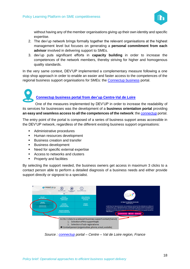

without having any of the member organisations giving up their own identity and specific expertise.

- 2. The dev'up network brings formally together the relevant organisations at the highest management level but focuses on generating a **personal commitment from each advisor** involved in delivering support to SMEs.
- 3. dev'up puts significant efforts in **capacity building** in order to increase the competences of the network members, thereby striving for higher and homogenous quality standards.

In the very same context, DEV'UP implemented a complementary measure following a one stop shop approach in order to enable an easier and faster access to the competences of the regional business support organisations for SMEs: the [Connectup business](http://www.connectup-centrevaldeloire.fr/) portal.

## **[Connectup business portal from dev'up Centre-Val de Loire](http://www.connectup-centrevaldeloire.fr/)**

One of the measures implemented by DEV'UP in order to increase the readability of its services for businesses was the development of a **business orientation portal** providing an easy and seamless access to all the competences of the network: the **connectup** portal.

The entry point of the portal is composed of a series of business support areas accessible in the DEV'UP network, regardless of the different existing business support organisations:

- Administrative procedures
- Human resources development
- Business creation and transfer
- Business development
- Need for specific external expertise
- Access to networks and clusters
- Property and facilities

By selecting the support needed, the business owners get access in maximum 3 clicks to a contact person able to perform a detailed diagnosis of a business needs and either provide support directly or signpost to a specialist.



*Source : [connectup](https://www.connectup-centrevaldeloire.fr/) portal – Centre – Val de Loire region, France*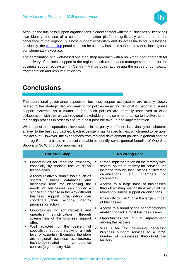

Although the business support organisations in direct contact with the businesses all keep their own identity, the use of a common orientation platform significantly contributed to the coherence of the regional business support ecosystem and its accessibility for businesses. Obviously, the [connectup](https://www.connectup-centrevaldeloire.fr/) portal can also be used by business support providers looking for a complementary expertise.

The combination of a web-based one stop shop approach with a no wrong door approach for the delivery of business support in the region constitutes a sound management model for the business support ecosystem in Centre – Val de Loire, addressing the issues of complexity, fragmentation and resource efficiency.

## <span id="page-19-0"></span>**Conclusions**

The operational governance aspects of business support ecosystems are usually closely related to the strategic decision making for policies impacting regional or national business support systems. As a matter of fact, such policies are normally conceived in close collaboration with the relevant regional stakeholders. It is common practice to involve them in the design process in order to ensure a best possible take up and implementation.

With respect to the operational level tackled in this policy brief, there is obviously no dichotomic answer to the best approaches. Each ecosystem has its specificities, which need to be taken into account. However, the experiences from regional development policies in general and the Interreg Europe projects in particular enable to identify some general benefits of One Stop Shop and No Wrong Door approaches:

|   | <b>One Stop Shop</b>                                                                                                                                                                                                           |                | <b>No Wrong Door</b>                                                                                                                                                                                 |
|---|--------------------------------------------------------------------------------------------------------------------------------------------------------------------------------------------------------------------------------|----------------|------------------------------------------------------------------------------------------------------------------------------------------------------------------------------------------------------|
| ٠ | Opportunities for resource efficiency,<br>especially by making use of digital<br>technologies.<br>Already relatively simple tools such as<br>shared<br>business<br>databases<br>and                                            | ٠              | Strong implementation on the territory with<br>several points of delivery for services, for<br>instance through local offices of different<br>organisations<br>chambers<br>(e.g.<br>οf<br>commerce). |
|   | diagnostic tools for identifying the<br>needs of businesses can trigger a<br>significant increase in the way different<br>business support organisation can<br>coordinate<br>their actions, identify<br>priorities for action. | $\blacksquare$ | Access to a large base of businesses<br>through existing relationships within all the<br>relevant business support organisations.<br>Possibility to visit / consult a large number<br>of businesses. |
| п | Opportunities for administrative and<br>simplification<br>operative<br>through                                                                                                                                                 | ٠              | Access to a broad scope of competences<br>enabling to tackle most business issues.                                                                                                                   |
|   | streamlining of the business support<br>offer.                                                                                                                                                                                 | ٠              | Opportunities for mutual improvement<br>among the partners.                                                                                                                                          |
| п | Well adapted for the delivery of<br>specialised support involving a high<br>level of expertise. Examples therefore<br>are regional business accelerators,<br>technology-related<br>competence<br>centres (e.g. Industry 4.0).  | $\blacksquare$ | Well suited for delivering generalist<br>business support services to a large<br>number of businesses throughout the<br>territory.                                                                   |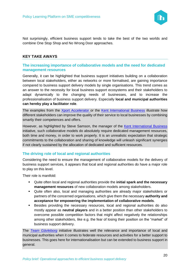

Not surprisingly, efficient business support tends to take the best of the two worlds and combine One Stop Shop and No Wrong Door approaches.

#### <span id="page-20-0"></span>**KEY TAKE AWAYS**

#### **The increasing importance of collaborative models and the need for dedicated management resources**

Generally, it can be highlighted that business support initiatives building on a collaboration between local stakeholders, either as networks or more formalised, are gaining importance compared to business support delivery models by single organisations. This trend comes as an answer to the necessity for local business support ecosystems and their stakeholders to adapt dynamically to the changing needs of businesses, and to increase the professionalisation of business support delivery. Especially **local and municipal authorities can hereby play a facilitator role**.

The examples from the [Xport Accelerator](https://www.interregeurope.eu/policylearning/good-practices/item/847/export-accelerator/) or the [Kent International Business](https://www.interregeurope.eu/policylearning/good-practices/item/35/kent-international-business/) illustrate how different stakeholders can improve the quality of their service to local businesses by combining smartly their competences and offers.

However, as highlighted by Steve Samson, the manager of the [Kent International Business](https://www.interregeurope.eu/policylearning/good-practices/item/35/kent-international-business/) initiative, such collaborative models do absolutely require dedicated management resources, both time and money, in order to work properly. It is an unrealistic expectation that strategic commitments to the collaboration and sharing of knowledge will unleash significant synergies if not clearly sustained by the allocation of dedicated and sufficient resources.

#### **The driving role of local and regional authorities**

Considering the need to ensure the management of collaborative models for the delivery of business support services, it appears that local and regional authorities do have a major role to play on this level.

Their role is manifold:

- Quite often local and regional authorities provide the **initial spark and the necessary management resources** of new collaboration models among stakeholders.
- Quite often also, local and managing authorities are already major stakeholders or partners of the concerned organisations, which give them the necessary **authority and acceptance for empowering the implementation of collaborative models**.
- Besides providing the necessary resources, local and regional authorities do also mostly appear as **neutral players** and in a better position than other stakeholders to overcome possible competition factors that might affect negatively the relationships among other stakeholders, like e.g. the fear of losing their position on the "market" of business support delivery.

The *[Team Gävleborg](https://www.facebook.com/Team-G%C3%A4vleborg-Regional-exportsamverkan-256406958390079/)* initiative illustrates well the relevance and importance of local and municipal authorities when it comes to federate resources and activities for a better support to businesses. This goes here for internationalisation but can be extended to business support in general.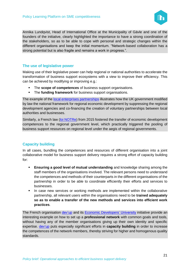

Annika Lundqvist, Head of International Office at the Municipality of Gävle and one of the founders of the initiative, clearly highlighted the importance to have a strong coordination of the stakeholders, so as to be able to cope with personal and strategic changes within the different organisations and keep the initial momentum. "Network-based collaboration has a strong potential but is also fragile and remains a work in progress.".

#### **The use of legislative power**

Making use of their legislative power can help regional or national authorities to accelerate the transformation of business support ecosystems with a view to improve their efficiency. This can be achieved by modifying or improving e.g.:

- The **scope of competences** of business support organisations.
- The **funding framework** for business support organisations.

The example of the [local enterprises partnerships](https://www.lepnetwork.net/) illustrates how the UK government modified by law the national framework for regional economic development by suppressing the regional development agencies and co-financing the creation of voluntary partnerships between local authorities and businesses.

Similarly, a French law [\(loi NOTRe\)](https://www.legifrance.gouv.fr/affichTexte.do?cidTexte=JORFTEXT000030985460&categorieLien=id) from 2015 fostered the transfer of economic development competences to the regional government level, which practically triggered the pooling of business support resources on regional level under the aegis of regional governments.

#### **Capacity building**

In all cases, bundling the competences and resources of different organisation into a joint collaborative model for business support delivery requires a strong effort of capacity building for:

- **Ensuring a good level of mutual understanding** and knowledge sharing among the staff members of the organisations involved. The relevant persons need to understand the competences and methods of their counterparts in the different organisations of the partnership in order to be able to coordinate efficiently their efforts and services to businesses.
- **.** In case new services or working methods are implemented within the collaborative partnership, all relevant users within the organisations need to be **trained adequately so as to enable a transfer of the new methods and services into efficient work practices**.

The French organisation dev'up and its [Economic Developers' University](https://www.interregeurope.eu/policylearning/good-practices/item/980/the-economic-developer-s-university-in-centre-val-de-loire-region/) initiative provide an interesting example on how to set up a **professional network** with common goals and tools, without having any of the member organisations giving up their own identity and specific expertise. dev'up puts especially significant efforts in **capacity building** in order to increase the competences of the network members, thereby striving for higher and homogenous quality standards.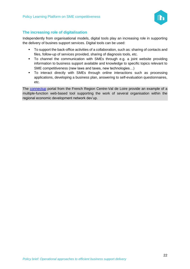

#### **The increasing role of digitalisation**

Independently from organisational models, digital tools play an increasing role in supporting the delivery of busines support services. Digital tools can be used:

- To support the back-office activities of a collaboration, such as: sharing of contacts and files, follow-up of services provided, sharing of diagnosis tools, etc.
- To channel the communication with SMEs through e.g. a joint website providing information to business support available and knowledge to specific topics relevant to SME competitiveness (new laws and taxes, new technologies…)
- To interact directly with SMEs through online interactions such as processing applications, developing a business plan, answering to self-evaluation questionnaires, etc.

The [connectup](https://www.connectup-centrevaldeloire.fr/) portal from the French Region Centre-Val de Loire provide an example of a multiple-function web-based tool supporting the work of several organisation within the regional economic development network dev'up.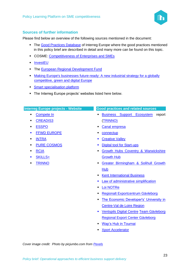

#### **Sources of further information**

Please find below an overview of the following sources mentioned in the document:

- **The [Good Practices Database](https://www.interregeurope.eu/policylearning/good-practices/item/2161/tholos/) of Interreg Europe where the good practices mentioned** in this policy brief are described in detail and many more can be found on this topic.
- COSME: [Competitiveness of Enterprises and SMEs](https://ec.europa.eu/growth/smes/cosme_en)
- [InvestEU](https://europa.eu/investeu)
- **The [European Regional Development Fund](https://ec.europa.eu/regional_policy/en/funding/erdf/)**
- Making Europe's businesses future-ready: A new industrial strategy for a globally [competitive, green and digital Europe](https://ec.europa.eu/growth/content/making-europes-businesses-future-ready-new-industrial-strategy-globally-competitive-green-0_sl)
- **EXECUTE: [Smart specialisation platform](https://s3platform.jrc.ec.europa.eu/what-is-smart-specialisation-)**
- The Interreg Europe projects' websites listed here below.

| <b>Interreg Europe projects - Website</b> | <b>Good practices and related sources</b>                     |
|-------------------------------------------|---------------------------------------------------------------|
| Compete In<br>$\blacksquare$              | <b>Business Support Ecosystem</b><br>report<br>$\blacksquare$ |
| <b>CREADIS3</b><br>$\blacksquare$         | <u>(TRINNO)</u>                                               |
| <b>ESSPO</b><br>$\blacksquare$            | <b>Canal empresa</b><br>٠                                     |
| <b>FFWD EUROPE</b><br>$\blacksquare$      | connectup<br>п                                                |
| <b>INTRA</b><br>$\blacksquare$            | <b>Creative Valley</b><br>$\blacksquare$                      |
| <b>PURE COSMOS</b><br>$\blacksquare$      | <b>Digital tool for Start-ups</b><br>$\blacksquare$           |
| <b>RCIA</b><br>$\blacksquare$             | Growth Hubs Coventry & Warwickshire<br>$\blacksquare$         |
| <b>SKILLS+</b><br>$\blacksquare$          | <b>Growth Hub</b>                                             |
| <b>TRINNO</b><br>$\blacksquare$           | Greater Birmingham & Solihull Growth<br>$\blacksquare$        |
|                                           | Hub                                                           |
|                                           | <b>Kent International Business</b><br>$\blacksquare$          |
|                                           | Law of administrative simplification<br>П                     |
|                                           | <b>Loi NOTRe</b><br>$\blacksquare$                            |
|                                           | Regionalt Exportcentrum Gävleborg<br>п                        |

- **The Economic Developer's' University in** [Centre-Val de Loire Region](https://www.interregeurope.eu/policylearning/good-practices/item/980/the-economic-developer-s-university-in-centre-val-de-loire-region/)
- [Ventspils Digital Centre](https://www.interregeurope.eu/policylearning/good-practices/item/1453/ventspils-digital-centre-vdc/) [Team Gävleborg](https://www.facebook.com/Team-G%C3%A4vleborg-Regional-exportsamverkan-256406958390079/)  [Regional Export Center Gävleborg](https://www.facebook.com/Team-G%C3%A4vleborg-Regional-exportsamverkan-256406958390079/)
- [Wap's Hub in Tournai](https://www.interregeurope.eu/policylearning/good-practices/item/1176/the-creative-hubs-policy-the-example-of-wap-s-hub-the-creative-hub-of-the-city-of-tournai/)
- **[Xport Accelerator](https://www.interregeurope.eu/policylearning/good-practices/item/847/export-accelerator/)**

*Cover image credit: Photo by picjumbo.com from [Pexels](https://www.pexels.com/photo/woman-wearing-earpiece-using-white-laptop-computer-210647/)*